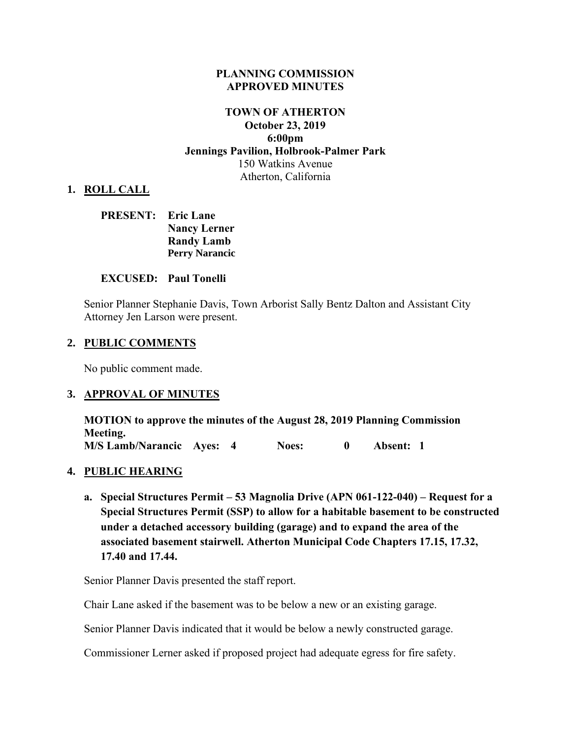#### **PLANNING COMMISSION APPROVED MINUTES**

# **TOWN OF ATHERTON October 23, 2019 6:00pm Jennings Pavilion, Holbrook-Palmer Park** 150 Watkins Avenue Atherton, California

### **1. ROLL CALL**

| <b>PRESENT:</b> Eric Lane |                       |
|---------------------------|-----------------------|
|                           | <b>Nancy Lerner</b>   |
|                           | <b>Randy Lamb</b>     |
|                           | <b>Perry Narancic</b> |

#### **EXCUSED: Paul Tonelli**

Senior Planner Stephanie Davis, Town Arborist Sally Bentz Dalton and Assistant City Attorney Jen Larson were present.

#### **2. PUBLIC COMMENTS**

No public comment made.

#### **3. APPROVAL OF MINUTES**

**MOTION to approve the minutes of the August 28, 2019 Planning Commission Meeting. M/S Lamb/Narancic Ayes: 4 Noes: 0 Absent: 1** 

#### **4. PUBLIC HEARING**

**a. Special Structures Permit – 53 Magnolia Drive (APN 061-122-040) – Request for a Special Structures Permit (SSP) to allow for a habitable basement to be constructed under a detached accessory building (garage) and to expand the area of the associated basement stairwell. Atherton Municipal Code Chapters 17.15, 17.32, 17.40 and 17.44.**

Senior Planner Davis presented the staff report.

Chair Lane asked if the basement was to be below a new or an existing garage.

Senior Planner Davis indicated that it would be below a newly constructed garage.

Commissioner Lerner asked if proposed project had adequate egress for fire safety.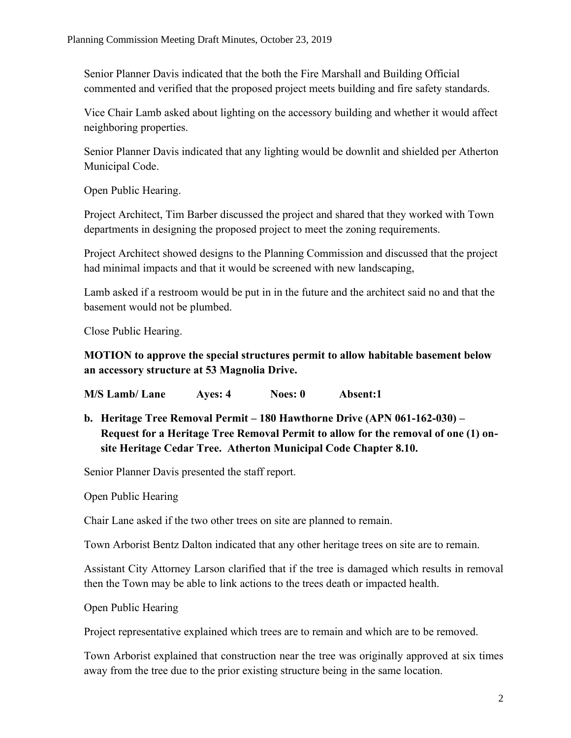Senior Planner Davis indicated that the both the Fire Marshall and Building Official commented and verified that the proposed project meets building and fire safety standards.

Vice Chair Lamb asked about lighting on the accessory building and whether it would affect neighboring properties.

Senior Planner Davis indicated that any lighting would be downlit and shielded per Atherton Municipal Code.

Open Public Hearing.

Project Architect, Tim Barber discussed the project and shared that they worked with Town departments in designing the proposed project to meet the zoning requirements.

Project Architect showed designs to the Planning Commission and discussed that the project had minimal impacts and that it would be screened with new landscaping,

Lamb asked if a restroom would be put in in the future and the architect said no and that the basement would not be plumbed.

Close Public Hearing.

# **MOTION to approve the special structures permit to allow habitable basement below an accessory structure at 53 Magnolia Drive.**

**M/S Lamb/ Lane Ayes: 4 Noes: 0 Absent:1**

**b. Heritage Tree Removal Permit – 180 Hawthorne Drive (APN 061-162-030) – Request for a Heritage Tree Removal Permit to allow for the removal of one (1) onsite Heritage Cedar Tree. Atherton Municipal Code Chapter 8.10.**

Senior Planner Davis presented the staff report.

Open Public Hearing

Chair Lane asked if the two other trees on site are planned to remain.

Town Arborist Bentz Dalton indicated that any other heritage trees on site are to remain.

Assistant City Attorney Larson clarified that if the tree is damaged which results in removal then the Town may be able to link actions to the trees death or impacted health.

Open Public Hearing

Project representative explained which trees are to remain and which are to be removed.

Town Arborist explained that construction near the tree was originally approved at six times away from the tree due to the prior existing structure being in the same location.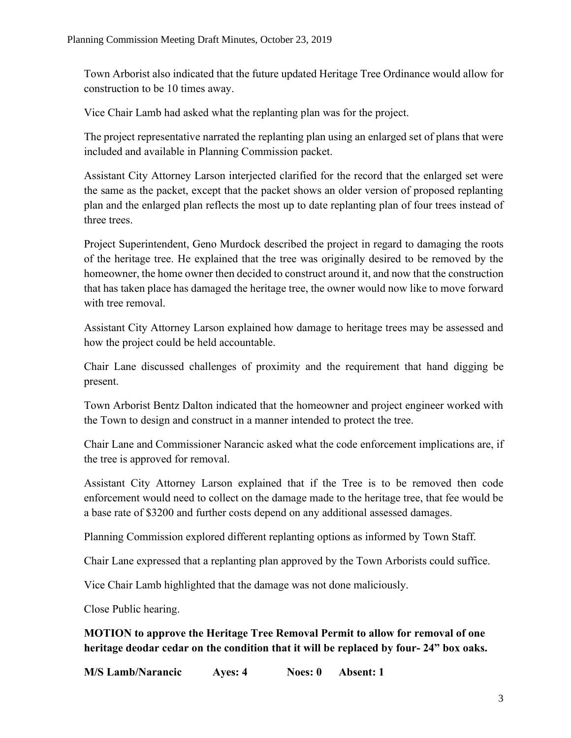Town Arborist also indicated that the future updated Heritage Tree Ordinance would allow for construction to be 10 times away.

Vice Chair Lamb had asked what the replanting plan was for the project.

The project representative narrated the replanting plan using an enlarged set of plans that were included and available in Planning Commission packet.

Assistant City Attorney Larson interjected clarified for the record that the enlarged set were the same as the packet, except that the packet shows an older version of proposed replanting plan and the enlarged plan reflects the most up to date replanting plan of four trees instead of three trees.

Project Superintendent, Geno Murdock described the project in regard to damaging the roots of the heritage tree. He explained that the tree was originally desired to be removed by the homeowner, the home owner then decided to construct around it, and now that the construction that has taken place has damaged the heritage tree, the owner would now like to move forward with tree removal.

Assistant City Attorney Larson explained how damage to heritage trees may be assessed and how the project could be held accountable.

Chair Lane discussed challenges of proximity and the requirement that hand digging be present.

Town Arborist Bentz Dalton indicated that the homeowner and project engineer worked with the Town to design and construct in a manner intended to protect the tree.

Chair Lane and Commissioner Narancic asked what the code enforcement implications are, if the tree is approved for removal.

Assistant City Attorney Larson explained that if the Tree is to be removed then code enforcement would need to collect on the damage made to the heritage tree, that fee would be a base rate of \$3200 and further costs depend on any additional assessed damages.

Planning Commission explored different replanting options as informed by Town Staff.

Chair Lane expressed that a replanting plan approved by the Town Arborists could suffice.

Vice Chair Lamb highlighted that the damage was not done maliciously.

Close Public hearing.

**MOTION to approve the Heritage Tree Removal Permit to allow for removal of one heritage deodar cedar on the condition that it will be replaced by four- 24" box oaks.**

**M/S Lamb/Narancic Ayes: 4 Noes: 0 Absent: 1**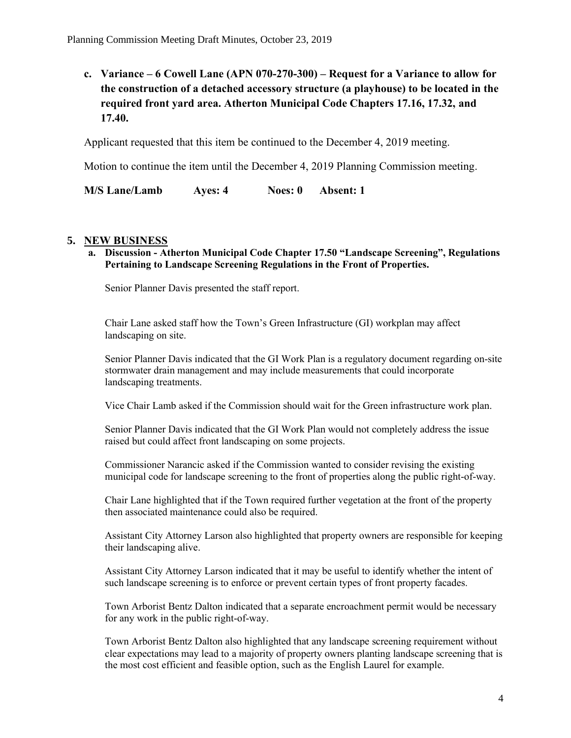**c. Variance – 6 Cowell Lane (APN 070-270-300) – Request for a Variance to allow for the construction of a detached accessory structure (a playhouse) to be located in the required front yard area. Atherton Municipal Code Chapters 17.16, 17.32, and 17.40.** 

Applicant requested that this item be continued to the December 4, 2019 meeting.

Motion to continue the item until the December 4, 2019 Planning Commission meeting.

**M/S Lane/Lamb Ayes: 4 Noes: 0 Absent: 1**

### **5. NEW BUSINESS**

**a. Discussion - Atherton Municipal Code Chapter 17.50 "Landscape Screening", Regulations Pertaining to Landscape Screening Regulations in the Front of Properties.** 

Senior Planner Davis presented the staff report.

Chair Lane asked staff how the Town's Green Infrastructure (GI) workplan may affect landscaping on site.

Senior Planner Davis indicated that the GI Work Plan is a regulatory document regarding on-site stormwater drain management and may include measurements that could incorporate landscaping treatments.

Vice Chair Lamb asked if the Commission should wait for the Green infrastructure work plan.

Senior Planner Davis indicated that the GI Work Plan would not completely address the issue raised but could affect front landscaping on some projects.

Commissioner Narancic asked if the Commission wanted to consider revising the existing municipal code for landscape screening to the front of properties along the public right-of-way.

Chair Lane highlighted that if the Town required further vegetation at the front of the property then associated maintenance could also be required.

Assistant City Attorney Larson also highlighted that property owners are responsible for keeping their landscaping alive.

Assistant City Attorney Larson indicated that it may be useful to identify whether the intent of such landscape screening is to enforce or prevent certain types of front property facades.

Town Arborist Bentz Dalton indicated that a separate encroachment permit would be necessary for any work in the public right-of-way.

Town Arborist Bentz Dalton also highlighted that any landscape screening requirement without clear expectations may lead to a majority of property owners planting landscape screening that is the most cost efficient and feasible option, such as the English Laurel for example.